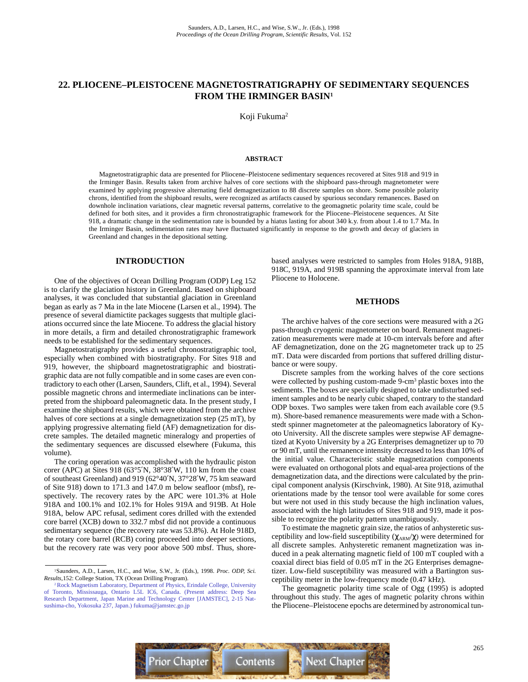# **22. PLIOCENE–PLEISTOCENE MAGNETOSTRATIGRAPHY OF SEDIMENTARY SEQUENCES FROM THE IRMINGER BASIN1**

Koji Fukuma2

### **ABSTRACT**

Magnetostratigraphic data are presented for Pliocene–Pleistocene sedimentary sequences recovered at Sites 918 and 919 in the Irminger Basin. Results taken from archive halves of core sections with the shipboard pass-through magnetometer were examined by applying progressive alternating field demagnetization to 88 discrete samples on shore. Some possible polarity chrons, identified from the shipboard results, were recognized as artifacts caused by spurious secondary remanences. Based on downhole inclination variations, clear magnetic reversal patterns, correlative to the geomagnetic polarity time scale, could be defined for both sites, and it provides a firm chronostratigraphic framework for the Pliocene–Pleistocene sequences. At Site 918, a dramatic change in the sedimentation rate is bounded by a hiatus lasting for about 340 k.y. from about 1.4 to 1.7 Ma. In the Irminger Basin, sedimentation rates may have fluctuated significantly in response to the growth and decay of glaciers in Greenland and changes in the depositional setting.

### **INTRODUCTION**

One of the objectives of Ocean Drilling Program (ODP) Leg 152 is to clarify the glaciation history in Greenland. Based on shipboard analyses, it was concluded that substantial glaciation in Greenland began as early as 7 Ma in the late Miocene (Larsen et al., 1994). The presence of several diamictite packages suggests that multiple glaciations occurred since the late Miocene. To address the glacial history in more details, a firm and detailed chronostratigraphic framework needs to be established for the sedimentary sequences.

Magnetostratigraphy provides a useful chronostratigraphic tool, especially when combined with biostratigraphy. For Sites 918 and 919, however, the shipboard magnetostratigraphic and biostratigraphic data are not fully compatible and in some cases are even contradictory to each other (Larsen, Saunders, Clift, et al., 1994). Several possible magnetic chrons and intermediate inclinations can be interpreted from the shipboard paleomagnetic data. In the present study, I examine the shipboard results, which were obtained from the archive halves of core sections at a single demagnetization step (25 mT), by applying progressive alternating field (AF) demagnetization for discrete samples. The detailed magnetic mineralogy and properties of the sedimentary sequences are discussed elsewhere (Fukuma, this volume).

The coring operation was accomplished with the hydraulic piston corer (APC) at Sites 918 (63°5′N, 38°38′W, 110 km from the coast of southeast Greenland) and 919 (62°40′N, 37°28′W, 75 km seaward of Site 918) down to 171.3 and 147.0 m below seafloor (mbsf), respectively. The recovery rates by the APC were 101.3% at Hole 918A and 100.1% and 102.1% for Holes 919A and 919B. At Hole 918A, below APC refusal, sediment cores drilled with the extended core barrel (XCB) down to 332.7 mbsf did not provide a continuous sedimentary sequence (the recovery rate was 53.8%). At Hole 918D, the rotary core barrel (RCB) coring proceeded into deeper sections, but the recovery rate was very poor above 500 mbsf. Thus, shorebased analyses were restricted to samples from Holes 918A, 918B, 918C, 919A, and 919B spanning the approximate interval from late Pliocene to Holocene.

### **METHODS**

The archive halves of the core sections were measured with a 2G pass-through cryogenic magnetometer on board. Remanent magnetization measurements were made at 10-cm intervals before and after AF demagnetization, done on the 2G magnetometer track up to 25 mT. Data were discarded from portions that suffered drilling disturbance or were soupy.

Discrete samples from the working halves of the core sections were collected by pushing custom-made 9-cm<sup>3</sup> plastic boxes into the sediments. The boxes are specially designed to take undisturbed sediment samples and to be nearly cubic shaped, contrary to the standard ODP boxes. Two samples were taken from each available core (9.5 m). Shore-based remanence measurements were made with a Schonstedt spinner magnetometer at the paleomagnetics laboratory of Kyoto University. All the discrete samples were stepwise AF demagnetized at Kyoto University by a 2G Enterprises demagnetizer up to 70 or 90 mT, until the remanence intensity decreased to less than 10% of the initial value. Characteristic stable magnetization components were evaluated on orthogonal plots and equal-area projections of the demagnetization data, and the directions were calculated by the principal component analysis (Kirschvink, 1980). At Site 918, azimuthal orientations made by the tensor tool were available for some cores but were not used in this study because the high inclination values, associated with the high latitudes of Sites 918 and 919, made it possible to recognize the polarity pattern unambiguously.

To estimate the magnetic grain size, the ratios of anhysteretic susceptibility and low-field susceptibility  $(\chi_{ARM}/\chi)$  were determined for all discrete samples. Anhysteretic remanent magnetization was induced in a peak alternating magnetic field of 100 mT coupled with a coaxial direct bias field of 0.05 mT in the 2G Enterprises demagnetizer. Low-field susceptibility was measured with a Bartington susceptibility meter in the low-frequency mode (0.47 kHz).

The geomagnetic polarity time scale of Ogg (1995) is adopted throughout this study. The ages of magnetic polarity chrons within the Pliocene–Pleistocene epochs are determined by astronomical tun-



<sup>1</sup>Saunders, A.D., Larsen, H.C., and Wise, S.W., Jr. (Eds.), 1998. *Proc. ODP, Sci. Results,*152: College Station, TX (Ocean Drilling Program).

<sup>2</sup> Rock Magnetism Laboratory, Department of Physics, Erindale College, University [of Toronto, Mississauga, Ontario L5L IC6, Canada. \(Present address: Deep Sea](mailto:fukuma@jamstec.go.jp) Research Department, Japan Marine and Technology Center [JAMSTEC], 2-15 Natsushima-cho, Yokosuka 237, Japan.) fukuma@jamstec.go.jp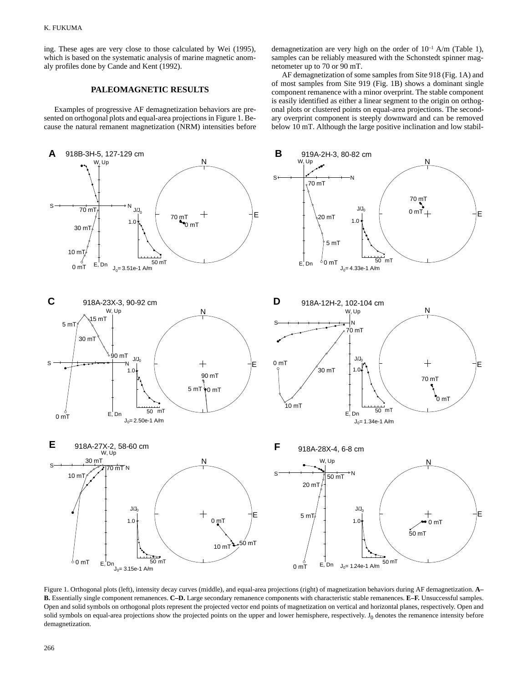ing. These ages are very close to those calculated by Wei (1995), which is based on the systematic analysis of marine magnetic anomaly profiles done by Cande and Kent (1992).

## **PALEOMAGNETIC RESULTS**

Examples of progressive AF demagnetization behaviors are presented on orthogonal plots and equal-area projections in Figure 1. Because the natural remanent magnetization (NRM) intensities before demagnetization are very high on the order of  $10^{-1}$  A/m (Table 1), samples can be reliably measured with the Schonstedt spinner magnetometer up to 70 or 90 mT.

AF demagnetization of some samples from Site 918 (Fig. 1A) and of most samples from Site 919 (Fig. 1B) shows a dominant single component remanence with a minor overprint. The stable component is easily identified as either a linear segment to the origin on orthogonal plots or clustered points on equal-area projections. The secondary overprint component is steeply downward and can be removed below 10 mT. Although the large positive inclination and low stabil-



Figure 1. Orthogonal plots (left), intensity decay curves (middle), and equal-area projections (right) of magnetization behaviors during AF demagnetization. **A– B.** Essentially single component remanences. **C–D.** Large secondary remanence components with characteristic stable remanences. **E–F.** Unsuccessful samples. Open and solid symbols on orthogonal plots represent the projected vector end points of magnetization on vertical and horizontal planes, respectively. Open and solid symbols on equal-area projections show the projected points on the upper and lower hemisphere, respectively.  $J_0$  denotes the remanence intensity before demagnetization.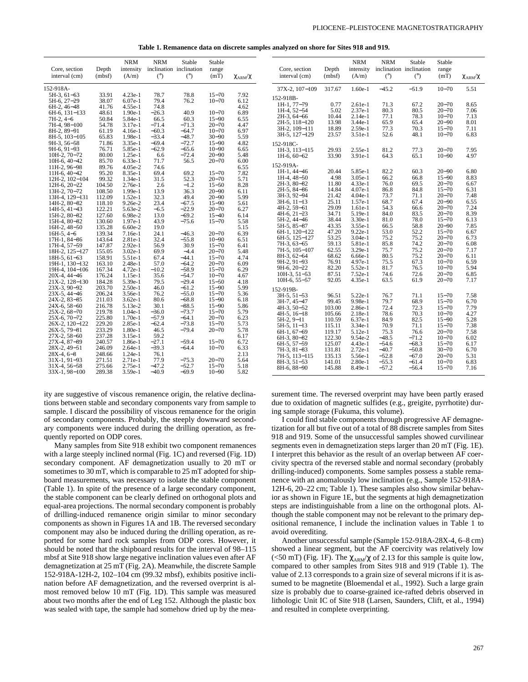**Table 1. Remanence data on discrete samples analyzed on shore for Sites 918 and 919.**

| Core, section<br>interval (cm)    | Depth<br>(mbsf)  | <b>NRM</b><br>intensity<br>(A/m) | <b>NRM</b><br>(°)  | Stable<br>inclination inclination<br>(°) | Stable<br>range<br>(mT) | $\chi_{\rm ARM}/\chi$ | Core, section<br>interval (cm) | Depth<br>(mbsf) | <b>NRM</b><br>intensity<br>(A/m) | <b>NRM</b><br>(°) | Stable<br>inclination inclination<br>(°) | Stable<br>range<br>(mT) | $\chi_{\text{ARM}}/\chi$ |
|-----------------------------------|------------------|----------------------------------|--------------------|------------------------------------------|-------------------------|-----------------------|--------------------------------|-----------------|----------------------------------|-------------------|------------------------------------------|-------------------------|--------------------------|
| 152-918A-                         |                  |                                  |                    |                                          |                         |                       | 37X-2, 107-109                 | 317.67          | $1.60e-1$                        | $-45.2$           | $-51.9$                                  | $10 - 70$               | 5.51                     |
| $5H-3, 61-63$                     | 33.91            | $4.23e-1$                        | 78.7               | 78.8                                     | $15 - 70$               | 7.92                  |                                |                 |                                  |                   |                                          |                         |                          |
| 5H-6, 27-29                       | 38.07            | $6.07e-1$                        | 79.4               | 76.2                                     | $10 - 70$               | 6.12                  | 152-918B-<br>1H-1, 77-79       | 0.77            | $2.61e-1$                        | 71.3              | 67.2                                     | $20 - 70$               | 8.65                     |
| $6H-2$ , $46-48$                  | 41.76            | 4.55e-1                          | 74.8               |                                          |                         | 4.62                  | 1H-4, 52-54                    | 5.02            | 2.37e-1                          | 80.3              | 80.5                                     | $20 - 70$               | 7.06                     |
| $6H-6.131-133$                    | 48.61            | $1.90e-1$                        | $-26.3$            | 40.9                                     | $10 - 70$               | 6.89                  | $2H-3, 64-66$                  | 10.44           | $2.14e-1$                        | 77.1              | 78.3                                     | $10 - 70$               | 7.13                     |
| $7H-2.4-6$                        | 50.84            | 5.84e-1                          | 66.5               | 60.3                                     | $15 - 90$               | 6.55                  | $2H-5.118-120$                 | 13.98           | $3.44e-1$                        | 65.9              | 65.4                                     | $20 - 90$               | 8.01                     |
| 7H-4, 98-100                      | 54.78            | $3.17e-1$                        | $-71.4$            | $-71.3$                                  | $20 - 70$               | 4.47                  | 3H-2, 109-111                  | 18.89           | 2.59e-1                          | 77.3              | 70.3                                     | $15 - 70$               | 7.11                     |
| 8H-2, 89-91                       | 61.19            | $4.16e-1$                        | $-60.3$            | $-64.7$                                  | $10 - 70$               | 6.97                  | 3H-5, 127-129                  | 23.57           | $3.51e-1$                        | 52.6              | 48.1                                     | $10 - 70$               | 6.83                     |
| $8H-5.103-105$                    | 65.83            | 1.98e-1                          | $-33.4$            | $-48.7$                                  | $30 - 90$               | 5.59                  |                                |                 |                                  |                   |                                          |                         |                          |
| $9H-3.56-58$                      | 71.86            | $3.35e-1$<br>5.85e-1             | $-69.4$<br>$-62.9$ | $-72.7$                                  | $15 - 90$<br>$10 - 90$  | 4.82                  | 152-918C-                      |                 |                                  |                   |                                          |                         |                          |
| $9H-6.91-93$<br>$10H-2$ , $70-72$ | 76.71<br>80.00   | $1.25e-1$                        | 6.6                | $-65.6$<br>$-72.4$                       | $20 - 90$               | 6.65<br>5.48          | 1H-3, 113-115                  | 29.93           | 2.55e-1                          | 81.2              | 77.3                                     | $20 - 70$               | 7.95                     |
| $10H-6$ , $40-42$                 | 85.70            | $6.33e-1$                        | 71.7               | 56.5                                     | $20 - 70$               | 6.00                  | $1H-6, 60-62$                  | 33.90           | 3.91e-1                          | 64.3              | 65.1                                     | $10 - 90$               | 4.97                     |
| 11H-2, 96-98                      | 89.76            | $4.05e-2$                        | 74.6               |                                          |                         | 6.55                  | 152-919A-                      |                 |                                  |                   |                                          |                         |                          |
| $11H-6.40-42$                     | 95.20            | 8.35e-1                          | 69.4               | 69.2                                     | $15 - 70$               | 7.82                  | 1H-1, 44-46                    | 20.44           | 5.85e-1                          | 82.2              | 60.3                                     | $20 - 90$               | 6.80                     |
| 12H-2, 102-104                    | 99.32            | $1.34e-1$                        | 31.5               | 52.3                                     | $20 - 70$               | 5.71                  | $1H-4, 48-50$                  | 4.98            | $3.05e-1$                        | 66.2              | 66.8                                     | $15 - 90$               | 8.83                     |
| $12H-6.20-22$                     | 104.50           | 2.76e-1                          | 2.6                | $-1.2$                                   | $15 - 50$               | 8.28                  | $2H-3$ , $80-82$               | 11.80           | 4.33e-1                          | 76.0              | 69.5                                     | $20 - 70$               | 6.67                     |
| 13H-2, 70-72                      | 108.50           | $1.99e-1$                        | 13.9               | 36.3                                     | $20 - 90$               | 6.11                  | 2H-5, 84-86                    | 14.84           | $4.07e-1$                        | 86.8              | 84.8                                     | $15 - 70$               | 6.31                     |
| 13H-4, 129-131                    | 112.09           | $1.52e-1$                        | 32.3               | 49.4                                     | $20 - 90$               | 5.99                  | 3H-3, 92-94                    | 21.42           | $4.04e-1$                        | 73.7              | 71.1                                     | $20 - 70$               | 7.48                     |
| 14H-2, 80-82                      | 118.10           | $9.26e-2$                        | 23.4               | $-67.5$                                  | $15 - 90$               | 5.61                  | $3H-6$ , $11-13$               | 25.11           | $1.57e-1$                        | 68.7              | 67.4                                     | $20 - 90$               | 6.55                     |
| $14H-5, 41-43$                    | 122.21           | 5.63e-2                          | $-6.5$             | $-22.9$                                  | $20 - 70$               | 6.27                  | 4H-2, 59-61                    | 29.09           | $1.61e-1$                        | 54.3              | 66.6                                     | $20 - 70$               | 7.24                     |
| 15H-2, 80-82                      | 127.60           | 6.98e-2                          | 13.0               | $-69.2$                                  | $15 - 40$               | 6.14                  | $4H-6$ , $21-23$               | 34.71           | 5.19e-1                          | 84.0              | 83.5                                     | $20 - 70$               | 8.39                     |
| 15H-4, 80-82                      | 130.60           | $1.97e-1$                        | 43.9               | $-75.6$                                  | $15 - 70$               | 5.58                  | 5H-2, 44-46                    | 38.44           | $3.30e-1$                        | 81.0              | 78.0                                     | $15 - 70$               | 6.13                     |
| $16H-2, 48-50$                    | 135.28           | $6.60e-2$                        | 19.0               |                                          |                         | 5.15                  | 5H-5, 85-87                    | 43.35           | 3.55e-1                          | 66.5              | 58.8                                     | $20 - 90$               | 7.85                     |
| $16H-5, 4-6$                      | 139.34           | 7.16e-1                          | 24.1               | $-46.3$                                  | $20 - 70$               | 6.39                  | 6H-1, 120-122                  | 47.20           | $9.22e-1$                        | 53.0              | 52.2                                     | $15 - 70$               | 6.67                     |
| 17H-1, 84-86                      | 143.64           | 2.81e-1                          | 32.4               | $-55.8$                                  | $10 - 90$               | 6.51                  | 6H-5, 125-127                  | 53.25           | $3.04e-1$                        | 75.2<br>85.8      | 75.2<br>74.2                             | $20 - 70$<br>$20 - 70$  | 6.73                     |
| 17H-4, 57-59                      | 147.87           | $2.92e-1$                        | 56.9               | 30.9                                     | $15 - 70$               | 6.41                  | 7H-3, 63-65<br>7H-5, 105-107   | 59.13<br>62.55  | 5.81e-1<br>$3.29e-1$             | 75.7              | 75.2                                     | $20 - 70$               | 6.08<br>7.17             |
| 18H-2, 125-127                    | 155.05           | $3.02e-1$                        | 69.9               | $-4.4$                                   | $20 - 70$               | 5.48                  | 8H-3, 62-64                    | 68.62           | 6.66e-1                          | 80.5              | 75.2                                     | $20 - 70$               | 6.11                     |
| $18H-5, 61-63$                    | 158.91           | 5.51e-1                          | 67.4               | $-44.1$                                  | $15 - 70$               | 4.74                  | 9H-2, 91-93                    | 76.91           | $4.97e-1$                        | 75.5              | 67.3                                     | $10 - 70$               | 6.59                     |
| 19H-1, 130-132                    | 163.10           | $2.48e-1$                        | 57.0               | $-64.2$                                  | $20 - 70$               | 6.09                  | $9H-6$ , $20-22$               | 82.20           | 5.52e-1                          | 81.7              | 76.5                                     | $10 - 70$               | 5.94                     |
| 19H-4, 104-106                    | 167.34           | $4.72e-1$                        | $-10.2$            | $-58.9$                                  | $15 - 70$<br>$10 - 70$  | 6.29<br>4.67          | $10H-3, 51-53$                 | 87.51           | 7.52e-1                          | 74.6              | 72.6                                     | $20 - 70$               | 6.85                     |
| $20X-4, 44-46$<br>21X-2, 128-130  | 176.24<br>184.28 | 1.15e-1<br>5.39e-1               | 35.6<br>79.5       | $-54.7$<br>$-29.4$                       | $15 - 50$               | 4.18                  | $10H-6, 55-57$                 | 92.05           | 4.35e-1                          | 63.5              | 61.9                                     | $20 - 70$               | 7.17                     |
| $23X-3.90-92$                     | 203.70           | $2.50e-1$                        | 46.0               | $-61.2$                                  | $15 - 90$               | 5.99                  |                                |                 |                                  |                   |                                          |                         |                          |
| 23X-5, 44-46                      | 206.24           | 3.56e-1                          | 76.2               | $-55.0$                                  | $15 - 70$               | 5.36                  | 152-919B-                      |                 |                                  |                   |                                          |                         |                          |
| 24X-2, 83-85                      | 211.03           | $3.62e-1$                        | 80.6               | $-68.8$                                  | $15 - 90$               | 6.18                  | $3H-5, 51-53$                  | 96.51           | 5.22e-1<br>9.98e-1               | 76.7<br>79.7      | 71.1                                     | $15 - 70$               | 7.58                     |
| $24X-6, 58-60$                    | 216.78           | 5.13e-2                          | 30.1               | $-88.5$                                  | $15 - 90$               | 5.86                  | 3H-7, 45-47<br>4H-3, 50-52     | 99.45<br>103.00 | 2.86e-1                          | 72.4              | 68.9<br>72.3                             | $15 - 70$<br>$15 - 70$  | 6.70<br>7.79             |
| $25X-2, 68-70$                    | 219.78           | $1.04e-1$                        | $-36.0$            | $-73.7$                                  | $15 - 70$               | 5.79                  | $4H-5$ , $16-18$               | 105.66          | $2.18e-1$                        | 78.6              | 70.3                                     | $10 - 70$               | 4.27                     |
| $25X-6, 70-72$                    | 225.80           | $1.70e-1$                        | $-57.9$            | $-64.1$                                  | $20 - 70$               | 6.23                  | $5H-2, 9-11$                   | 110.59          | 6.37e-1                          | 84.9              | 82.5                                     | $15 - 90$               | 5.28                     |
| 26X-2, 120-122                    | 229.20           | 2.85e-1                          | $-62.4$            | $-73.8$                                  | $15 - 70$               | 5.73                  | $5H-5$ , $11-13$               | 115.11          | $3.34e-1$                        | 70.9              | 71.1                                     | $15 - 70$               | 7.38                     |
| $26X-5, 79-81$                    | 233.29           | $1.80e-1$                        | 46.5               | $-79.4$                                  | $20 - 70$               | 5.78                  | 6H-1, 67-69                    | 119.17          | 5.12e-1                          | 75.3              | 76.6                                     | $20 - 70$               | 7.58                     |
| $27X-2.58-60$                     | 237.28           | $3.15e-1$                        | 59.2               |                                          |                         | 6.17                  | 6H-3, 80-82                    | 122.30          | $9.54e-2$                        | $-48.5$           | $-71.2$                                  | $10 - 70$               | 6.02                     |
| 27X-4, 87-89                      | 240.57           | 1.86e-1                          | $-27.1$            | $-59.4$                                  | $15 - 70$               | 6.72                  | 6H-5, 57-59                    | 125.07          | $4.43e-1$                        | $-54.6$           | $-68.3$                                  | $15 - 70$               | 6.17                     |
| 28X-2, 49-51                      | 246.09           | $2.64e-1$                        | $-39.3$            | $-64.4$                                  | $10 - 70$               | 6.33                  | 7H-3, 81-83                    | 131.81          | $2.72e-1$                        | $-40.7$           | $-50.8$                                  | $30 - 70$               | 6.70                     |
| $28X-4.6-8$                       | 248.66           | $1.24e-1$                        | 76.1               |                                          |                         | 2.13                  | 7H-5, 113-115                  | 135.13          | 5.56e-1                          | $-52.8$           | $-67.0$                                  | $20 - 70$               | 5.31                     |
| $31X-1, 91-93$                    | 271.51           | $2.71e-1$                        | 77.9               | $-75.3$                                  | $20 - 70$               | 5.64                  | 8H-3, 51-53                    | 141.01          | $2.80e-1$                        | $-55.3$           | $-61.4$                                  | $10 - 70$               | 6.83                     |
| $31X-4, 56-58$                    | 275.66           | $2.75e-1$                        | $-47.2$            | $-52.7$                                  | $15 - 70$               | 5.18                  | 8H-6, 88-90                    | 145.88          | 8.49e-1                          | $-57.2$           | $-56.4$                                  | $15 - 70$               | 7.16                     |
| $33X-1, 98-100$                   | 289.38           | $3.59e-1$                        | $-40.9$            | $-69.9$                                  | $10 - 90$               | 5.82                  |                                |                 |                                  |                   |                                          |                         |                          |

ity are suggestive of viscous remanence origin, the relative declinations between stable and secondary components vary from sample to sample. I discard the possibility of viscous remanence for the origin of secondary components. Probably, the steeply downward secondary components were induced during the drilling operation, as frequently reported on ODP cores.

Many samples from Site 918 exhibit two component remanences with a large steeply inclined normal (Fig. 1C) and reversed (Fig. 1D) secondary component. AF demagnetization usually to 20 mT or sometimes to 30 mT, which is comparable to 25 mT adopted for shipboard measurements, was necessary to isolate the stable component (Table 1). In spite of the presence of a large secondary component, the stable component can be clearly defined on orthogonal plots and equal-area projections. The normal secondary component is probably of drilling-induced remanence origin similar to minor secondary components as shown in Figures 1A and 1B. The reversed secondary component may also be induced during the drilling operation, as reported for some hard rock samples from ODP cores. However, it should be noted that the shipboard results for the interval of 98–115 mbsf at Site 918 show large negative inclination values even after AF demagnetization at 25 mT (Fig. 2A). Meanwhile, the discrete Sample 152-918A-12H-2, 102–104 cm (99.32 mbsf), exhibits positive inclination before AF demagnetization, and the reversed overprint is almost removed below 10 mT (Fig. 1D). This sample was measured about two months after the end of Leg 152. Although the plastic box was sealed with tape, the sample had somehow dried up by the measurement time. The reversed overprint may have been partly erased due to oxidation of magnetic sulfides (e.g., greigite, pyrrhotite) during sample storage (Fukuma, this volume).

I could find stable components through progressive AF demagnetization for all but five out of a total of 88 discrete samples from Sites 918 and 919. Some of the unsuccessful samples showed curvilinear segments even in demagnetization steps larger than 20 mT (Fig. 1E). I interpret this behavior as the result of an overlap between AF coercivity spectra of the reversed stable and normal secondary (probably drilling-induced) components. Some samples possess a stable remanence with an anomalously low inclination (e.g., Sample 152-918A-12H-6, 20–22 cm; Table 1). These samples also show similar behavior as shown in Figure 1E, but the segments at high demagnetization steps are indistinguishable from a line on the orthogonal plots. Although the stable component may not be relevant to the primary depositional remanence, I include the inclination values in Table 1 to avoid overediting.

Another unsuccessful sample (Sample 152-918A-28X-4, 6–8 cm) showed a linear segment, but the AF coercivity was relatively low (<50 mT) (Fig. 1F). The  $\chi_\text{ARM}/\chi$  of 2.13 for this sample is quite low, compared to other samples from Sites 918 and 919 (Table 1). The value of 2.13 corresponds to a grain size of several microns if it is assumed to be magnetite (Bloemendal et al., 1992). Such a large grain size is probably due to coarse-grained ice-rafted debris observed in lithologic Unit IC of Site 918 (Larsen, Saunders, Clift, et al., 1994) and resulted in complete overprinting.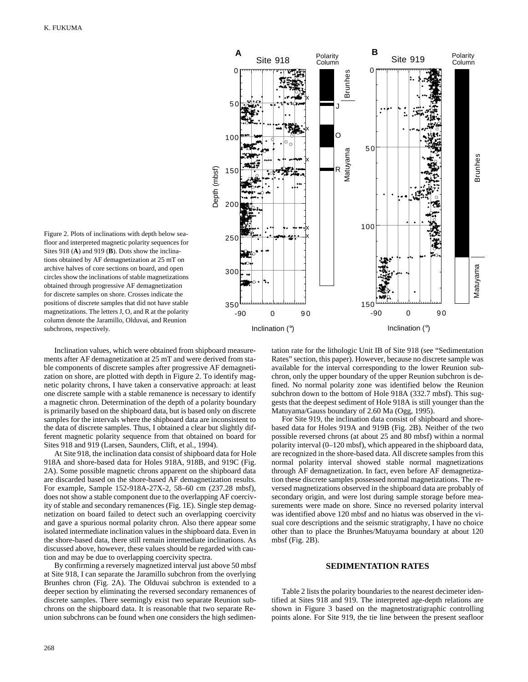

Figure 2. Plots of inclinations with depth below seafloor and interpreted magnetic polarity sequences for Sites 918 (**A**) and 919 (**B**). Dots show the inclinations obtained by AF demagnetization at 25 mT on archive halves of core sections on board, and open circles show the inclinations of stable magnetizations obtained through progressive AF demagnetization for discrete samples on shore. Crosses indicate the positions of discrete samples that did not have stable magnetizations. The letters J, O, and R at the polarity column denote the Jaramillo, Olduvai, and Reunion subchrons, respectively.

Inclination values, which were obtained from shipboard measurements after AF demagnetization at 25 mT and were derived from stable components of discrete samples after progressive AF demagnetization on shore, are plotted with depth in Figure 2. To identify magnetic polarity chrons, I have taken a conservative approach: at least one discrete sample with a stable remanence is necessary to identify a magnetic chron. Determination of the depth of a polarity boundary is primarily based on the shipboard data, but is based only on discrete samples for the intervals where the shipboard data are inconsistent to the data of discrete samples. Thus, I obtained a clear but slightly different magnetic polarity sequence from that obtained on board for Sites 918 and 919 (Larsen, Saunders, Clift, et al., 1994).

At Site 918, the inclination data consist of shipboard data for Hole 918A and shore-based data for Holes 918A, 918B, and 919C (Fig. 2A). Some possible magnetic chrons apparent on the shipboard data are discarded based on the shore-based AF demagnetization results. For example, Sample 152-918A-27X-2, 58–60 cm (237.28 mbsf), does not show a stable component due to the overlapping AF coercivity of stable and secondary remanences (Fig. 1E). Single step demagnetization on board failed to detect such an overlapping coercivity and gave a spurious normal polarity chron. Also there appear some isolated intermediate inclination values in the shipboard data. Even in the shore-based data, there still remain intermediate inclinations. As discussed above, however, these values should be regarded with caution and may be due to overlapping coercivity spectra.

By confirming a reversely magnetized interval just above 50 mbsf at Site 918, I can separate the Jaramillo subchron from the overlying Brunhes chron (Fig. 2A). The Olduvai subchron is extended to a deeper section by eliminating the reversed secondary remanences of discrete samples. There seemingly exist two separate Reunion subchrons on the shipboard data. It is reasonable that two separate Reunion subchrons can be found when one considers the high sedimen-

tation rate for the lithologic Unit IB of Site 918 (see "Sedimentation Rates" section, this paper). However, because no discrete sample was available for the interval corresponding to the lower Reunion subchron, only the upper boundary of the upper Reunion subchron is defined. No normal polarity zone was identified below the Reunion subchron down to the bottom of Hole 918A (332.7 mbsf). This suggests that the deepest sediment of Hole 918A is still younger than the Matuyama/Gauss boundary of 2.60 Ma (Ogg, 1995).

For Site 919, the inclination data consist of shipboard and shorebased data for Holes 919A and 919B (Fig. 2B). Neither of the two possible reversed chrons (at about 25 and 80 mbsf) within a normal polarity interval (0–120 mbsf), which appeared in the shipboard data, are recognized in the shore-based data. All discrete samples from this normal polarity interval showed stable normal magnetizations through AF demagnetization. In fact, even before AF demagnetization these discrete samples possessed normal magnetizations. The reversed magnetizations observed in the shipboard data are probably of secondary origin, and were lost during sample storage before measurements were made on shore. Since no reversed polarity interval was identified above 120 mbsf and no hiatus was observed in the visual core descriptions and the seismic stratigraphy, I have no choice other than to place the Brunhes/Matuyama boundary at about 120 mbsf (Fig. 2B).

### **SEDIMENTATION RATES**

Table 2 lists the polarity boundaries to the nearest decimeter identified at Sites 918 and 919. The interpreted age-depth relations are shown in Figure 3 based on the magnetostratigraphic controlling points alone. For Site 919, the tie line between the present seafloor